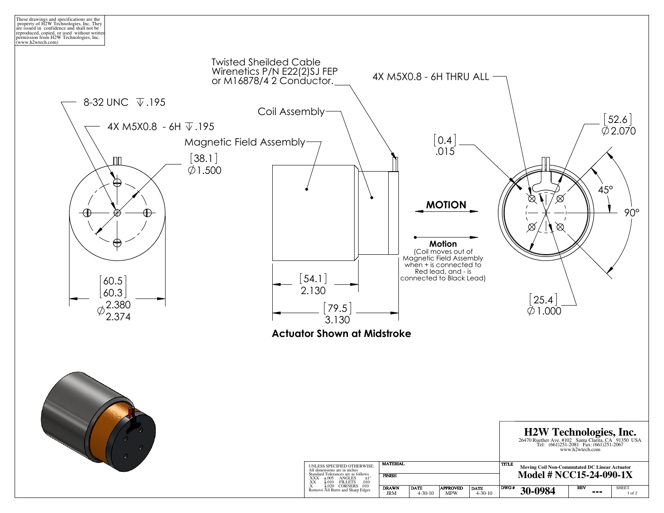